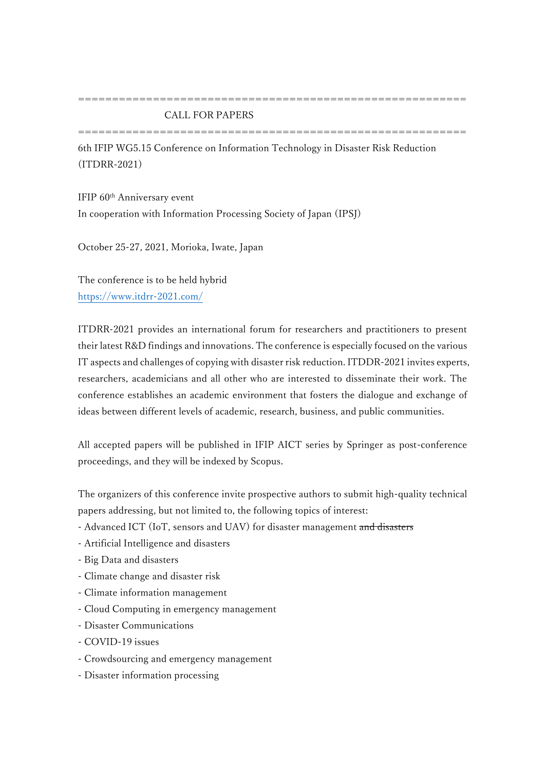## CALL FOR PAPERS

=========================================================

=========================================================

6th IFIP WG5.15 Conference on Information Technology in Disaster Risk Reduction (ITDRR-2021)

IFIP 60th Anniversary event In cooperation with Information Processing Society of Japan (IPSJ)

October 25-27, 2021, Morioka, Iwate, Japan

The conference is to be held hybrid <https://www.itdrr-2021.com/>

ITDRR-2021 provides an international forum for researchers and practitioners to present their latest R&D findings and innovations. The conference is especially focused on the various IT aspects and challenges of copying with disaster risk reduction. ITDDR-2021 invites experts, researchers, academicians and all other who are interested to disseminate their work. The conference establishes an academic environment that fosters the dialogue and exchange of ideas between different levels of academic, research, business, and public communities.

All accepted papers will be published in IFIP AICT series by Springer as post-conference proceedings, and they will be indexed by Scopus.

The organizers of this conference invite prospective authors to submit high-quality technical papers addressing, but not limited to, the following topics of interest:

- Advanced ICT (IoT, sensors and UAV) for disaster management and disasters
- Artificial Intelligence and disasters
- Big Data and disasters
- Climate change and disaster risk
- Climate information management
- Cloud Computing in emergency management
- Disaster Communications
- COVID-19 issues
- Crowdsourcing and emergency management
- Disaster information processing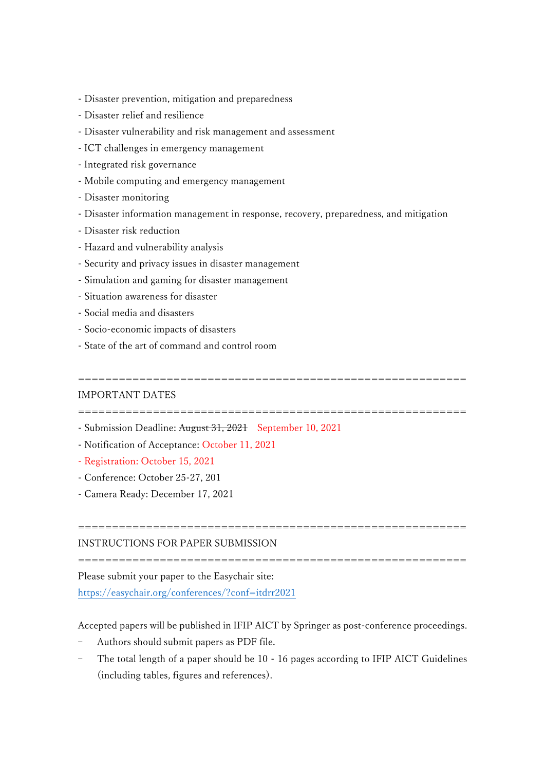- Disaster prevention, mitigation and preparedness
- Disaster relief and resilience
- Disaster vulnerability and risk management and assessment
- ICT challenges in emergency management
- Integrated risk governance
- Mobile computing and emergency management
- Disaster monitoring
- Disaster information management in response, recovery, preparedness, and mitigation
- Disaster risk reduction
- Hazard and vulnerability analysis
- Security and privacy issues in disaster management
- Simulation and gaming for disaster management
- Situation awareness for disaster
- Social media and disasters
- Socio-economic impacts of disasters
- State of the art of command and control room

#### =========================================================

### IMPORTANT DATES

=========================================================

- Submission Deadline: August 31, 2021 September 10, 2021
- Notification of Acceptance: October 11, 2021
- Registration: October 15, 2021
- Conference: October 25-27, 201
- Camera Ready: December 17, 2021

# INSTRUCTIONS FOR PAPER SUBMISSION

=========================================================

=========================================================

Please submit your paper to the Easychair site:

<https://easychair.org/conferences/?conf=itdrr2021>

Accepted papers will be published in IFIP AICT by Springer as post-conference proceedings.

- Authors should submit papers as PDF file.
- The total length of a paper should be 10 16 pages according to IFIP AICT Guidelines (including tables, figures and references).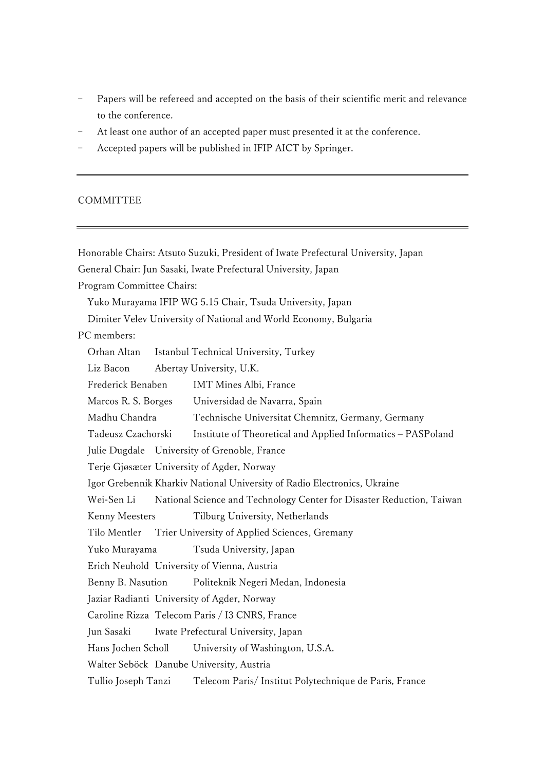- Papers will be refereed and accepted on the basis of their scientific merit and relevance to the conference.
- At least one author of an accepted paper must presented it at the conference.
- Accepted papers will be published in IFIP AICT by Springer.

# COMMITTEE

Honorable Chairs: Atsuto Suzuki, President of Iwate Prefectural University, Japan General Chair: Jun Sasaki, Iwate Prefectural University, Japan Program Committee Chairs: Yuko Murayama IFIP WG 5.15 Chair, Tsuda University, Japan Dimiter Velev University of National and World Economy, Bulgaria PC members: Orhan Altan Istanbul Technical University, Turkey Liz Bacon Abertay University, U.K. Frederick Benaben IMT Mines Albi, France Marcos R. S. Borges Universidad de Navarra, Spain Madhu Chandra Technische Universitat Chemnitz, Germany, Germany Tadeusz Czachorski Institute of Theoretical and Applied Informatics – PASPoland Julie Dugdale University of Grenoble, France Terje Gjøsæter University of Agder, Norway Igor Grebennik Kharkiv National University of Radio Electronics, Ukraine Wei-Sen Li National Science and Technology Center for Disaster Reduction, Taiwan Kenny Meesters Tilburg University, Netherlands Tilo Mentler Trier University of Applied Sciences, Gremany Yuko Murayama Tsuda University, Japan Erich Neuhold University of Vienna, Austria Benny B. Nasution Politeknik Negeri Medan, Indonesia Jaziar Radianti University of Agder, Norway Caroline Rizza Telecom Paris / I3 CNRS, France Jun Sasaki Iwate Prefectural University, Japan Hans Jochen Scholl University of Washington, U.S.A. Walter Seböck Danube University, Austria Tullio Joseph Tanzi Telecom Paris/ Institut Polytechnique de Paris, France